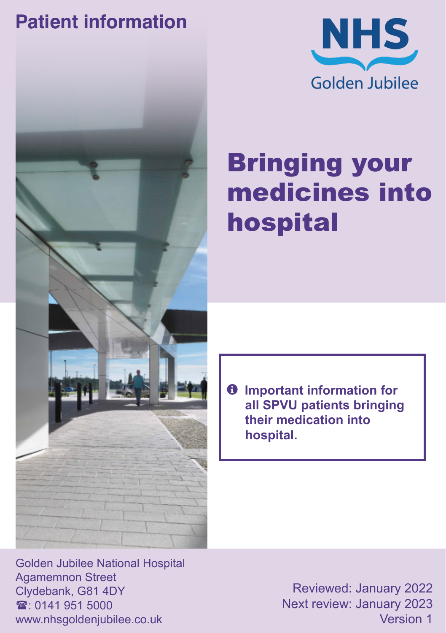### **Patient information**





# Bringing your medicines into hospital

 $\theta$  Important information for **all SPVU patients bringing their medication into hospital.**

Golden Jubilee National Hospital Agamemnon Street Clydebank, G81 4DY  $\mathbf{\hat{x}}$  0141 951 5000 www.nhsgoldenjubilee.co.uk

Reviewed: January 2022 Next review: January 2023 Version 1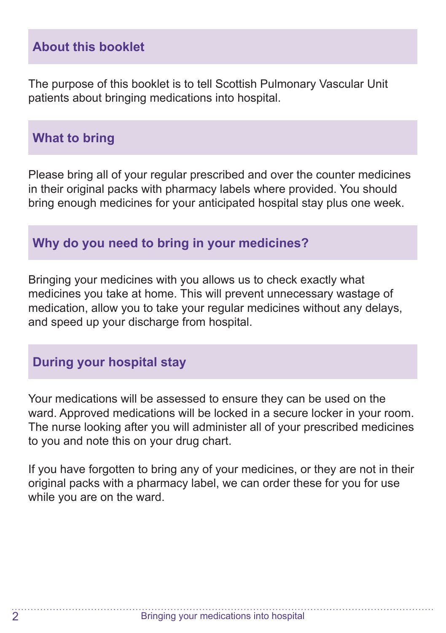#### **About this booklet**

The purpose of this booklet is to tell Scottish Pulmonary Vascular Unit patients about bringing medications into hospital.

#### **What to bring**

Please bring all of your regular prescribed and over the counter medicines in their original packs with pharmacy labels where provided. You should bring enough medicines for your anticipated hospital stay plus one week.

#### **Why do you need to bring in your medicines?**

Bringing your medicines with you allows us to check exactly what medicines you take at home. This will prevent unnecessary wastage of medication, allow you to take your regular medicines without any delays, and speed up your discharge from hospital.

#### **During your hospital stay**

Your medications will be assessed to ensure they can be used on the ward. Approved medications will be locked in a secure locker in your room. The nurse looking after you will administer all of your prescribed medicines to you and note this on your drug chart.

If you have forgotten to bring any of your medicines, or they are not in their original packs with a pharmacy label, we can order these for you for use while you are on the ward.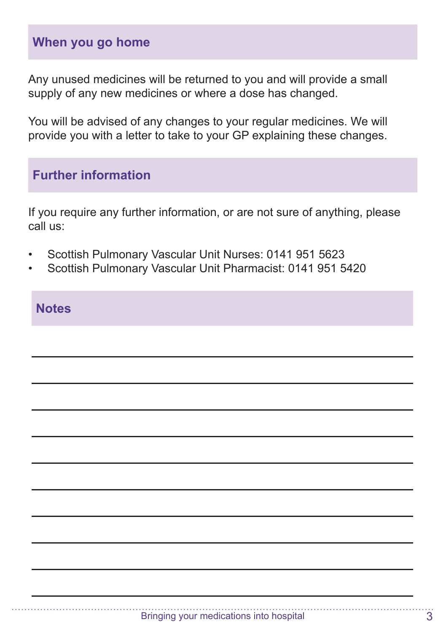#### **When you go home**

Any unused medicines will be returned to you and will provide a small supply of any new medicines or where a dose has changed.

You will be advised of any changes to your regular medicines. We will provide you with a letter to take to your GP explaining these changes.

#### **Further information**

If you require any further information, or are not sure of anything, please call us:

- Scottish Pulmonary Vascular Unit Nurses: 0141 951 5623
- Scottish Pulmonary Vascular Unit Pharmacist: 0141 951 5420

#### **Notes**